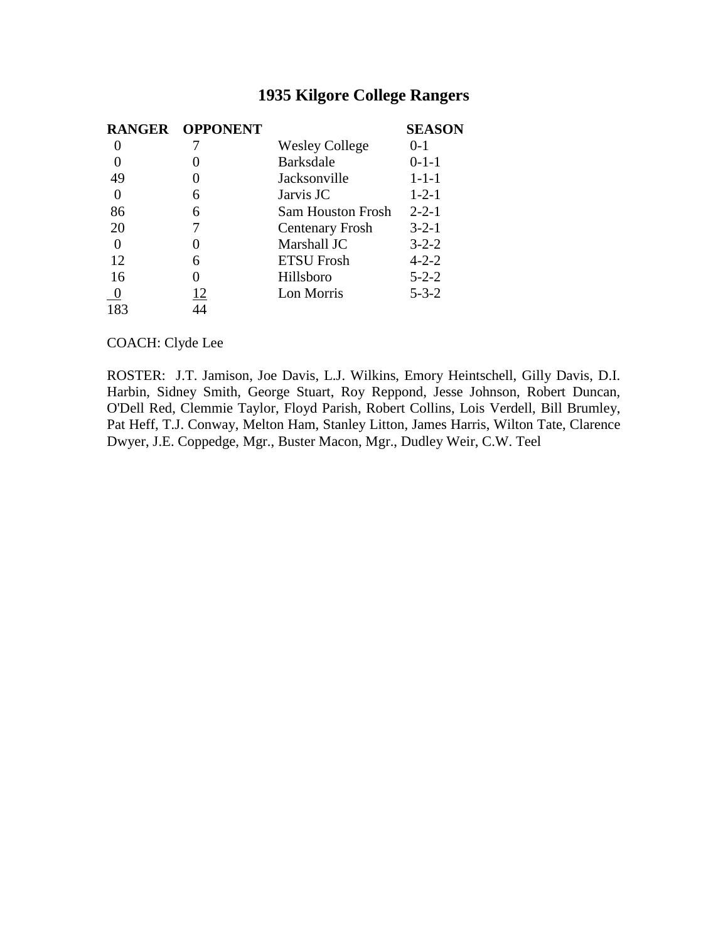|          | RANGER OPPONENT |                          | <b>SEASON</b> |
|----------|-----------------|--------------------------|---------------|
| $\theta$ |                 | <b>Wesley College</b>    | $0-1$         |
| $\Omega$ |                 | <b>Barksdale</b>         | $0-1-1$       |
| 49       |                 | Jacksonville             | $1 - 1 - 1$   |
| $\theta$ | 6               | Jarvis JC                | $1 - 2 - 1$   |
| 86       | 6               | <b>Sam Houston Frosh</b> | $2 - 2 - 1$   |
| 20       |                 | <b>Centenary Frosh</b>   | $3 - 2 - 1$   |
| 0        |                 | Marshall JC              | $3 - 2 - 2$   |
| 12       | 6               | <b>ETSU</b> Frosh        | $4 - 2 - 2$   |
| 16       |                 | Hillsboro                | $5 - 2 - 2$   |
| $\bf{0}$ | 12              | Lon Morris               | $5 - 3 - 2$   |
| 183      |                 |                          |               |

# COACH: Clyde Lee

ROSTER: J.T. Jamison, Joe Davis, L.J. Wilkins, Emory Heintschell, Gilly Davis, D.I. Harbin, Sidney Smith, George Stuart, Roy Reppond, Jesse Johnson, Robert Duncan, O'Dell Red, Clemmie Taylor, Floyd Parish, Robert Collins, Lois Verdell, Bill Brumley, Pat Heff, T.J. Conway, Melton Ham, Stanley Litton, James Harris, Wilton Tate, Clarence Dwyer, J.E. Coppedge, Mgr., Buster Macon, Mgr., Dudley Weir, C.W. Teel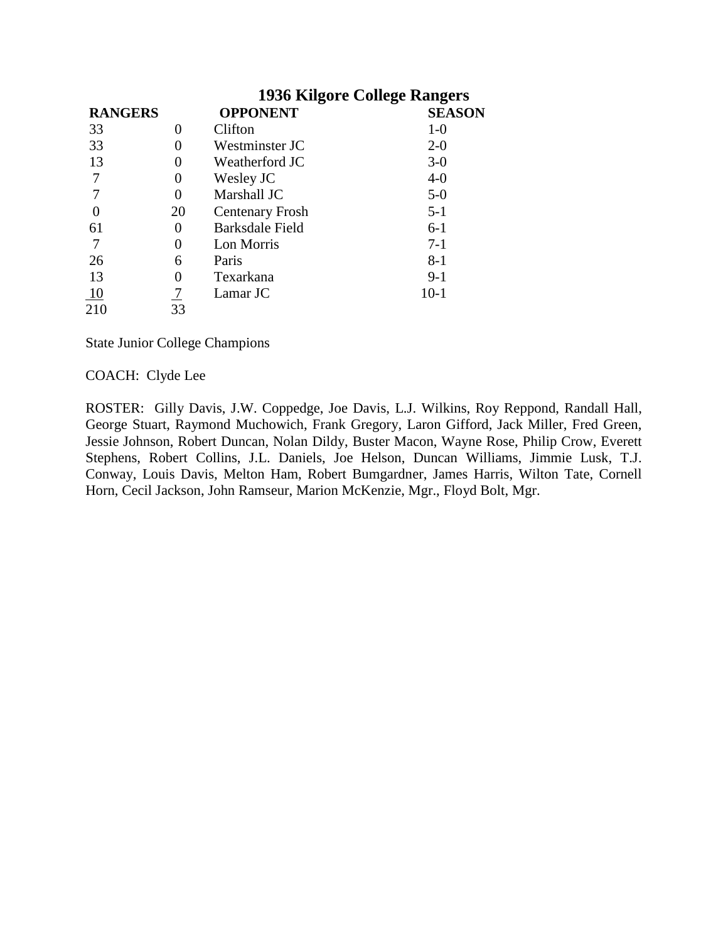|                |    | 1936 Kilgore College Rangers |               |  |
|----------------|----|------------------------------|---------------|--|
| <b>RANGERS</b> |    | <b>OPPONENT</b>              | <b>SEASON</b> |  |
| 33             |    | Clifton                      | $1-0$         |  |
| 33             |    | Westminster JC               | $2 - 0$       |  |
| 13             |    | Weatherford JC               | $3-0$         |  |
|                |    | Wesley JC                    | $4 - 0$       |  |
|                |    | Marshall JC                  | $5-0$         |  |
|                | 20 | <b>Centenary Frosh</b>       | $5 - 1$       |  |
| 61             |    | <b>Barksdale Field</b>       | $6-1$         |  |
|                |    | Lon Morris                   | $7-1$         |  |
| 26             | 6  | Paris                        | $8 - 1$       |  |
| 13             |    | Texarkana                    | $9-1$         |  |
| -10            |    | Lamar JC                     | $10-1$        |  |
| 210            | 33 |                              |               |  |
|                |    |                              |               |  |

State Junior College Champions

COACH: Clyde Lee

ROSTER: Gilly Davis, J.W. Coppedge, Joe Davis, L.J. Wilkins, Roy Reppond, Randall Hall, George Stuart, Raymond Muchowich, Frank Gregory, Laron Gifford, Jack Miller, Fred Green, Jessie Johnson, Robert Duncan, Nolan Dildy, Buster Macon, Wayne Rose, Philip Crow, Everett Stephens, Robert Collins, J.L. Daniels, Joe Helson, Duncan Williams, Jimmie Lusk, T.J. Conway, Louis Davis, Melton Ham, Robert Bumgardner, James Harris, Wilton Tate, Cornell Horn, Cecil Jackson, John Ramseur, Marion McKenzie, Mgr., Floyd Bolt, Mgr.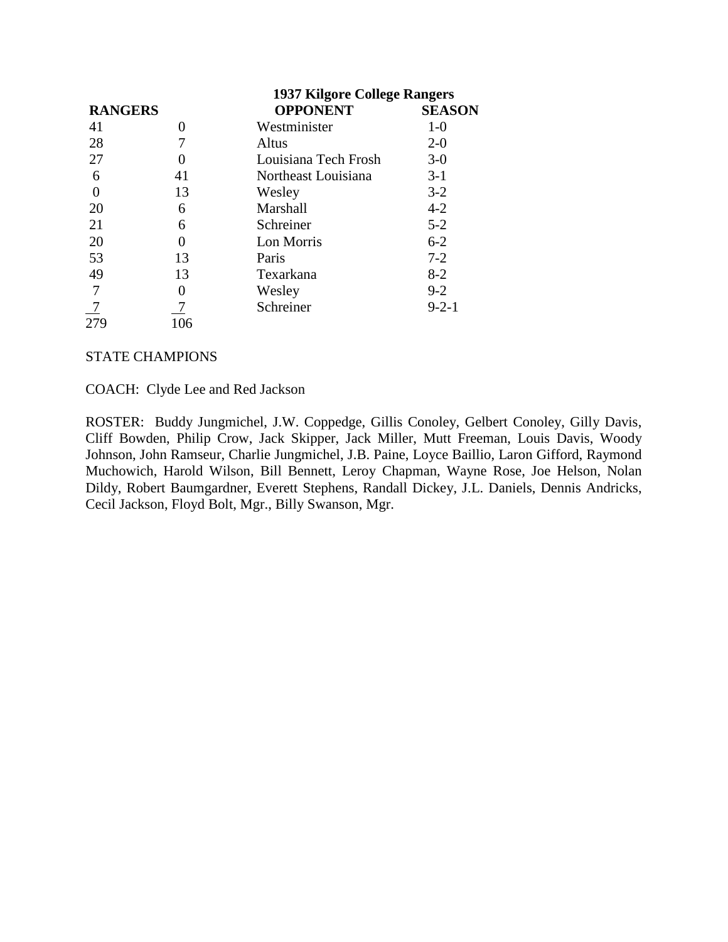|                |     |                      | <b>1937 Kilgore College Rangers</b> |  |  |
|----------------|-----|----------------------|-------------------------------------|--|--|
| <b>RANGERS</b> |     | <b>OPPONENT</b>      | <b>SEASON</b>                       |  |  |
| 41             |     | Westminister         | $1-0$                               |  |  |
| 28             |     | Altus                | $2 - 0$                             |  |  |
| 27             | 0   | Louisiana Tech Frosh | $3-0$                               |  |  |
| 6              | 41  | Northeast Louisiana  | $3-1$                               |  |  |
| $\overline{0}$ | 13  | Wesley               | $3-2$                               |  |  |
| 20             | 6   | Marshall             | $4 - 2$                             |  |  |
| 21             | 6   | Schreiner            | $5 - 2$                             |  |  |
| 20             | 0   | Lon Morris           | $6 - 2$                             |  |  |
| 53             | 13  | Paris                | $7 - 2$                             |  |  |
| 49             | 13  | Texarkana            | $8-2$                               |  |  |
|                | 0   | Wesley               | $9 - 2$                             |  |  |
|                |     | Schreiner            | $9 - 2 - 1$                         |  |  |
| 279            | 106 |                      |                                     |  |  |

# STATE CHAMPIONS

COACH: Clyde Lee and Red Jackson

ROSTER: Buddy Jungmichel, J.W. Coppedge, Gillis Conoley, Gelbert Conoley, Gilly Davis, Cliff Bowden, Philip Crow, Jack Skipper, Jack Miller, Mutt Freeman, Louis Davis, Woody Johnson, John Ramseur, Charlie Jungmichel, J.B. Paine, Loyce Baillio, Laron Gifford, Raymond Muchowich, Harold Wilson, Bill Bennett, Leroy Chapman, Wayne Rose, Joe Helson, Nolan Dildy, Robert Baumgardner, Everett Stephens, Randall Dickey, J.L. Daniels, Dennis Andricks, Cecil Jackson, Floyd Bolt, Mgr., Billy Swanson, Mgr.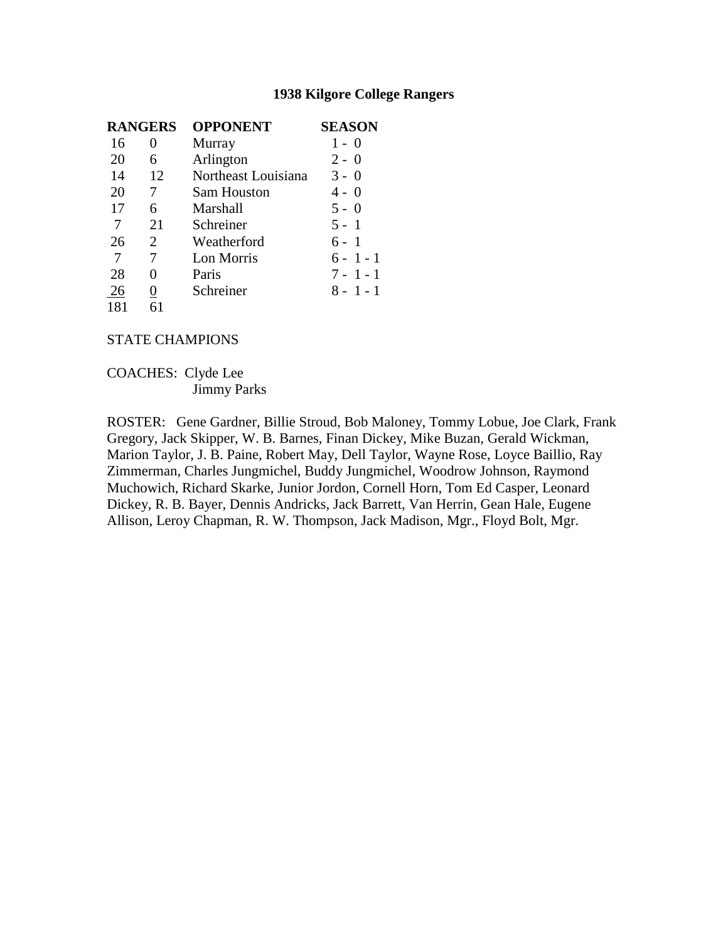|                | <b>RANGERS</b> | <b>OPPONENT</b>     | <b>SEASON</b> |
|----------------|----------------|---------------------|---------------|
| 16             | 0              | Murray              | $1 - 0$       |
| 20             | 6              | Arlington           | $2 - 0$       |
| 14             | 12             | Northeast Louisiana | $3 - 0$       |
| 20             | 7              | <b>Sam Houston</b>  | $4 - 0$       |
| 17             | 6              | Marshall            | $5 - 0$       |
| 7              | 21             | Schreiner           | $5 - 1$       |
| 26             | 2              | Weatherford         | 6 - 1         |
| $\overline{7}$ | 7              | Lon Morris          | $6 - 1 - 1$   |
| 28             | 0              | Paris               | $7 - 1 - 1$   |
| 26             |                | Schreiner           | $8 - 1 - 1$   |
| 181            |                |                     |               |

#### STATE CHAMPIONS

COACHES: Clyde Lee Jimmy Parks

ROSTER: Gene Gardner, Billie Stroud, Bob Maloney, Tommy Lobue, Joe Clark, Frank Gregory, Jack Skipper, W. B. Barnes, Finan Dickey, Mike Buzan, Gerald Wickman, Marion Taylor, J. B. Paine, Robert May, Dell Taylor, Wayne Rose, Loyce Baillio, Ray Zimmerman, Charles Jungmichel, Buddy Jungmichel, Woodrow Johnson, Raymond Muchowich, Richard Skarke, Junior Jordon, Cornell Horn, Tom Ed Casper, Leonard Dickey, R. B. Bayer, Dennis Andricks, Jack Barrett, Van Herrin, Gean Hale, Eugene Allison, Leroy Chapman, R. W. Thompson, Jack Madison, Mgr., Floyd Bolt, Mgr.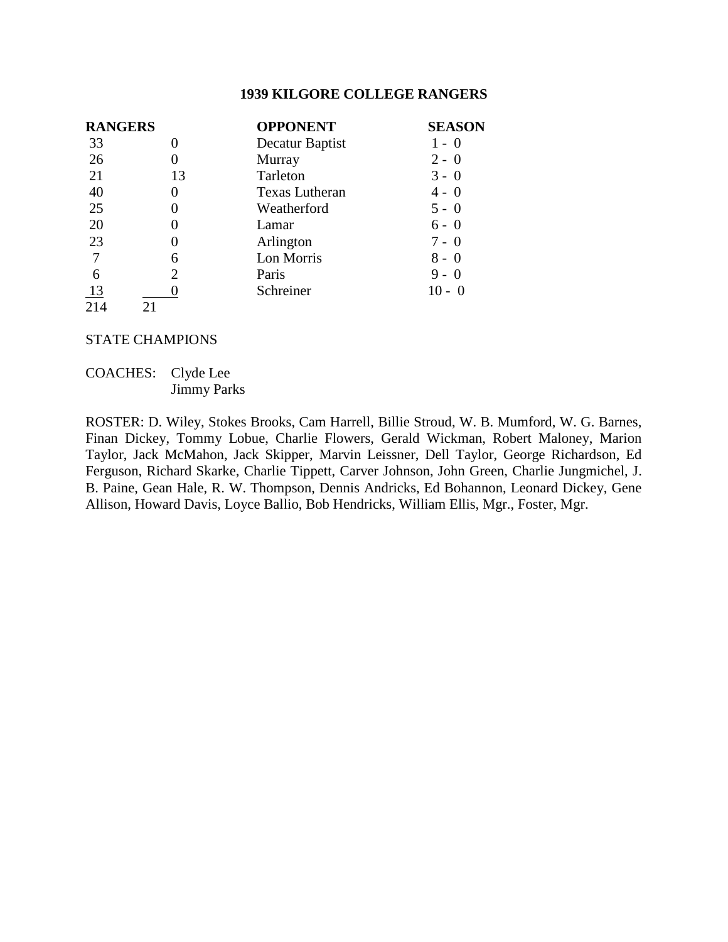| <b>RANGERS</b> |          | <b>OPPONENT</b>       | <b>SEASON</b> |  |
|----------------|----------|-----------------------|---------------|--|
| 33             |          | Decatur Baptist       | 1-0           |  |
| 26             |          | Murray                | $2 - 0$       |  |
| 21             | 13       | Tarleton              | $3 - 0$       |  |
| 40             | $\theta$ | <b>Texas Lutheran</b> | $4 - 0$       |  |
| 25             | 0        | Weatherford           | $5 - 0$       |  |
| 20             |          | Lamar                 | $6 - 0$       |  |
| 23             |          | Arlington             | $7 - 0$       |  |
| 7              | 6        | Lon Morris            | $8 - 0$       |  |
| 6              | 2        | Paris                 | $9 - 0$       |  |
| 13             |          | Schreiner             | $10 - 0$      |  |
| 214            |          |                       |               |  |

# STATE CHAMPIONS

COACHES: Clyde Lee Jimmy Parks

ROSTER: D. Wiley, Stokes Brooks, Cam Harrell, Billie Stroud, W. B. Mumford, W. G. Barnes, Finan Dickey, Tommy Lobue, Charlie Flowers, Gerald Wickman, Robert Maloney, Marion Taylor, Jack McMahon, Jack Skipper, Marvin Leissner, Dell Taylor, George Richardson, Ed Ferguson, Richard Skarke, Charlie Tippett, Carver Johnson, John Green, Charlie Jungmichel, J. B. Paine, Gean Hale, R. W. Thompson, Dennis Andricks, Ed Bohannon, Leonard Dickey, Gene Allison, Howard Davis, Loyce Ballio, Bob Hendricks, William Ellis, Mgr., Foster, Mgr.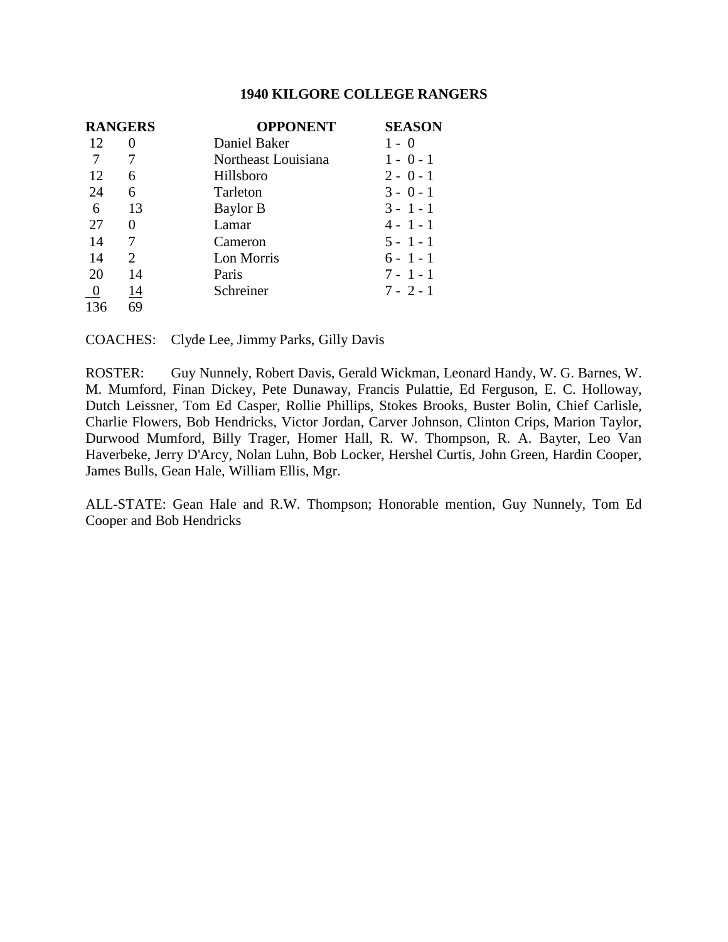|          | <b>RANGERS</b> | <b>OPPONENT</b>     | <b>SEASON</b> |
|----------|----------------|---------------------|---------------|
| 12       | $\theta$       | Daniel Baker        | $1 - 0$       |
|          |                | Northeast Louisiana | $1 - 0 - 1$   |
| 12       | 6              | Hillsboro           | $2 - 0 - 1$   |
| 24       | 6              | Tarleton            | $3 - 0 - 1$   |
| 6        | 13             | Baylor B            | $3 - 1 - 1$   |
| 27       | 0              | Lamar               | $4 - 1 - 1$   |
| 14       | 7              | Cameron             | $5 - 1 - 1$   |
| 14       | 2              | Lon Morris          | $6 - 1 - 1$   |
| 20       | 14             | Paris               | $7 - 1 - 1$   |
| $\bf{0}$ | 14             | Schreiner           | $7 - 2 - 1$   |
| 136      | 69             |                     |               |

COACHES: Clyde Lee, Jimmy Parks, Gilly Davis

ROSTER: Guy Nunnely, Robert Davis, Gerald Wickman, Leonard Handy, W. G. Barnes, W. M. Mumford, Finan Dickey, Pete Dunaway, Francis Pulattie, Ed Ferguson, E. C. Holloway, Dutch Leissner, Tom Ed Casper, Rollie Phillips, Stokes Brooks, Buster Bolin, Chief Carlisle, Charlie Flowers, Bob Hendricks, Victor Jordan, Carver Johnson, Clinton Crips, Marion Taylor, Durwood Mumford, Billy Trager, Homer Hall, R. W. Thompson, R. A. Bayter, Leo Van Haverbeke, Jerry D'Arcy, Nolan Luhn, Bob Locker, Hershel Curtis, John Green, Hardin Cooper, James Bulls, Gean Hale, William Ellis, Mgr.

ALL-STATE: Gean Hale and R.W. Thompson; Honorable mention, Guy Nunnely, Tom Ed Cooper and Bob Hendricks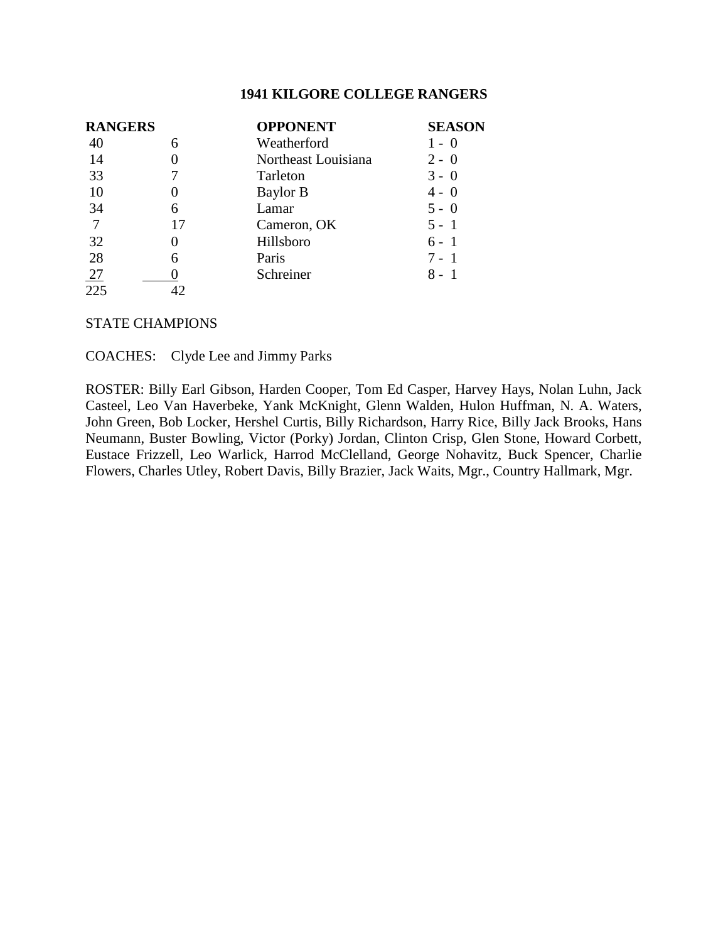| <b>RANGERS</b>   |    | <b>OPPONENT</b>     | <b>SEASON</b> |
|------------------|----|---------------------|---------------|
| 40               | 6  | Weatherford         | $1 - 0$       |
| 14               |    | Northeast Louisiana | $2 - 0$       |
| 33               |    | Tarleton            | $3 - 0$       |
| 10               |    | Baylor B            | $4 - 0$       |
| 34               | 6  | Lamar               | $5 - 0$       |
| 7                | 17 | Cameron, OK         | $5 - 1$       |
| 32               |    | Hillsboro           | $6 - 1$       |
| 28               | 6  | Paris               | 7 - 1         |
| 27               |    | Schreiner           | 8 -           |
| $\overline{225}$ |    |                     |               |

# STATE CHAMPIONS

COACHES: Clyde Lee and Jimmy Parks

ROSTER: Billy Earl Gibson, Harden Cooper, Tom Ed Casper, Harvey Hays, Nolan Luhn, Jack Casteel, Leo Van Haverbeke, Yank McKnight, Glenn Walden, Hulon Huffman, N. A. Waters, John Green, Bob Locker, Hershel Curtis, Billy Richardson, Harry Rice, Billy Jack Brooks, Hans Neumann, Buster Bowling, Victor (Porky) Jordan, Clinton Crisp, Glen Stone, Howard Corbett, Eustace Frizzell, Leo Warlick, Harrod McClelland, George Nohavitz, Buck Spencer, Charlie Flowers, Charles Utley, Robert Davis, Billy Brazier, Jack Waits, Mgr., Country Hallmark, Mgr.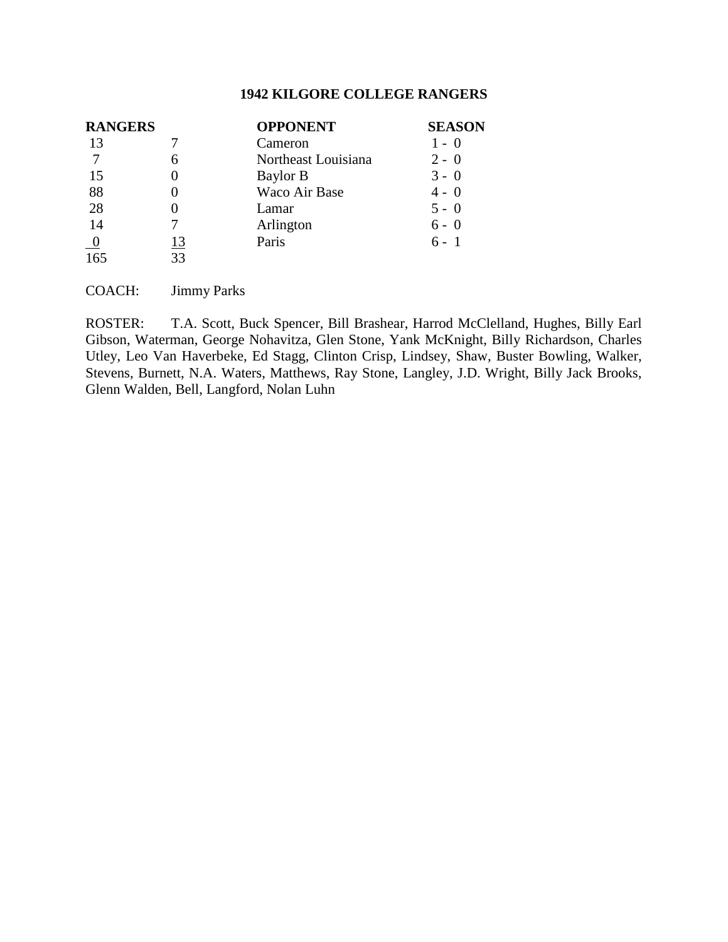| <b>RANGERS</b> |           | <b>OPPONENT</b>     | <b>SEASON</b> |
|----------------|-----------|---------------------|---------------|
| 13             |           | Cameron             | $1 - 0$       |
|                | 6         | Northeast Louisiana | $2 - 0$       |
| 15             |           | Baylor B            | $3 - 0$       |
| 88             |           | Waco Air Base       | $4 - 0$       |
| 28             |           | Lamar               | $5 - 0$       |
| 14             |           | Arlington           | $6 - 0$       |
| $\overline{0}$ | <u>13</u> | Paris               | $6 - 1$       |
| 165            | 33        |                     |               |

COACH: Jimmy Parks

ROSTER: T.A. Scott, Buck Spencer, Bill Brashear, Harrod McClelland, Hughes, Billy Earl Gibson, Waterman, George Nohavitza, Glen Stone, Yank McKnight, Billy Richardson, Charles Utley, Leo Van Haverbeke, Ed Stagg, Clinton Crisp, Lindsey, Shaw, Buster Bowling, Walker, Stevens, Burnett, N.A. Waters, Matthews, Ray Stone, Langley, J.D. Wright, Billy Jack Brooks, Glenn Walden, Bell, Langford, Nolan Luhn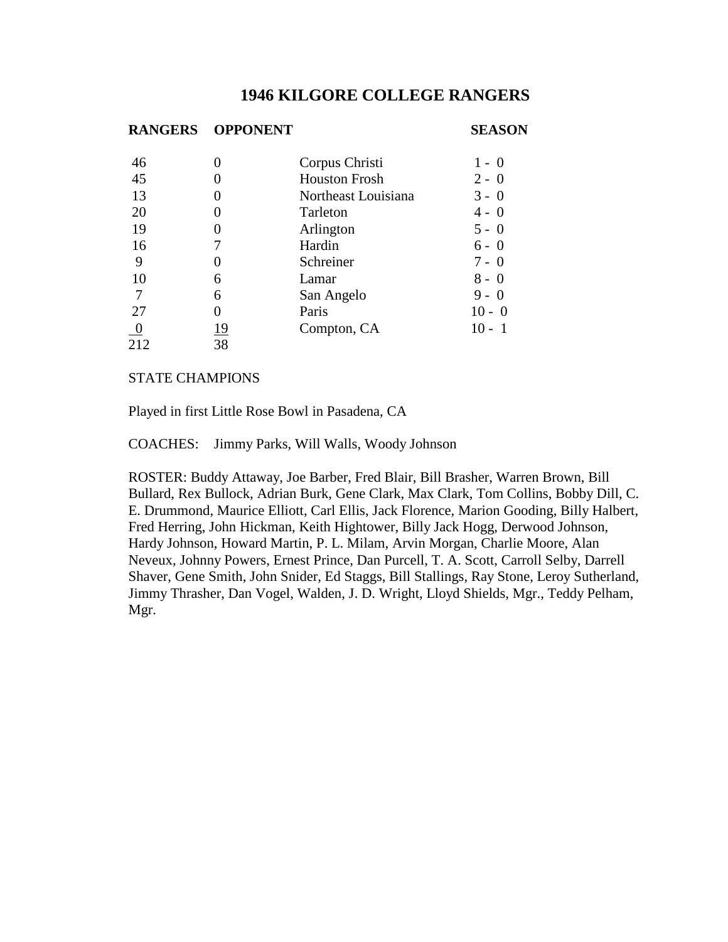#### **RANGERS OPPONENT SEASON**

|          |                     | $1 - 0$                                |
|----------|---------------------|----------------------------------------|
|          |                     | $2 - 0$                                |
|          | Northeast Louisiana | $3 - 0$                                |
|          | Tarleton            | $4 - 0$                                |
| $\theta$ | Arlington           | $5 - 0$                                |
|          | Hardin              | $6 - 0$                                |
|          | Schreiner           | $7 - 0$                                |
| 6        | Lamar               | $8 - 0$                                |
| 6        | San Angelo          | $9 - 0$                                |
| O        | Paris               | $10 - 0$                               |
| 19       | Compton, CA         | $10 -$                                 |
| 38       |                     |                                        |
|          |                     | Corpus Christi<br><b>Houston Frosh</b> |

#### STATE CHAMPIONS

Played in first Little Rose Bowl in Pasadena, CA

COACHES: Jimmy Parks, Will Walls, Woody Johnson

ROSTER: Buddy Attaway, Joe Barber, Fred Blair, Bill Brasher, Warren Brown, Bill Bullard, Rex Bullock, Adrian Burk, Gene Clark, Max Clark, Tom Collins, Bobby Dill, C. E. Drummond, Maurice Elliott, Carl Ellis, Jack Florence, Marion Gooding, Billy Halbert, Fred Herring, John Hickman, Keith Hightower, Billy Jack Hogg, Derwood Johnson, Hardy Johnson, Howard Martin, P. L. Milam, Arvin Morgan, Charlie Moore, Alan Neveux, Johnny Powers, Ernest Prince, Dan Purcell, T. A. Scott, Carroll Selby, Darrell Shaver, Gene Smith, John Snider, Ed Staggs, Bill Stallings, Ray Stone, Leroy Sutherland, Jimmy Thrasher, Dan Vogel, Walden, J. D. Wright, Lloyd Shields, Mgr., Teddy Pelham, Mgr.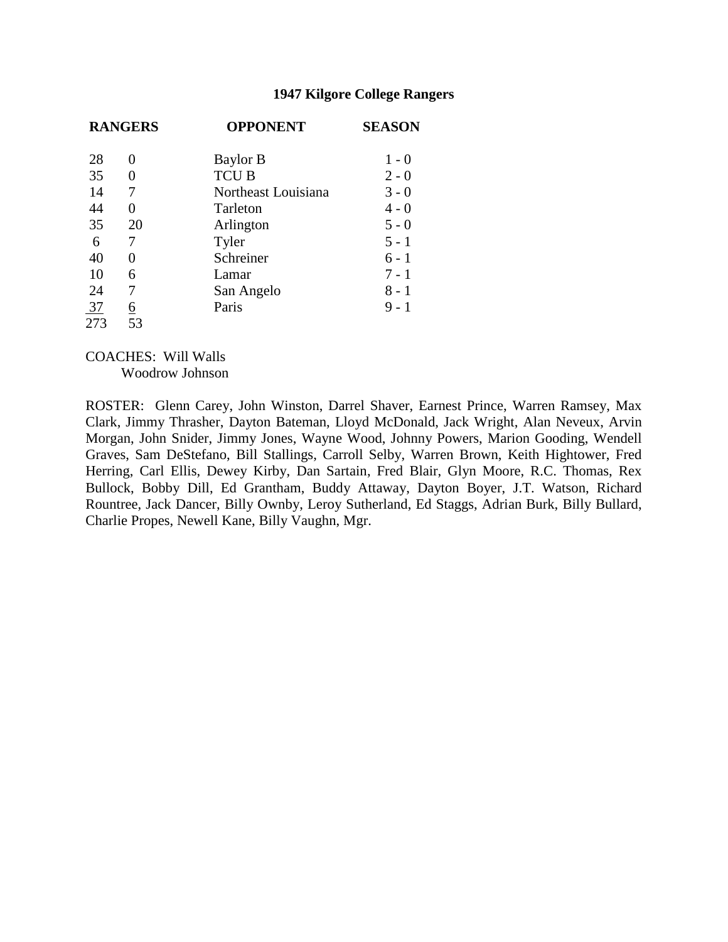|                | <b>RANGERS</b> | <b>OPPONENT</b>     | <b>SEASON</b> |
|----------------|----------------|---------------------|---------------|
| 28             | $\theta$       | Baylor B            | $1 - 0$       |
| 35             | 0              | <b>TCU B</b>        | $2 - 0$       |
| 14             | 7              | Northeast Louisiana | $3 - 0$       |
| 44             | $\theta$       | Tarleton            | $4 - 0$       |
| 35             | 20             | Arlington           | $5 - 0$       |
| 6              |                | Tyler               | $5 - 1$       |
| 40             | 0              | Schreiner           | $6 - 1$       |
| 10             | 6              | Lamar               | $7 - 1$       |
| 24             | 7              | San Angelo          | $8 - 1$       |
| $\frac{37}{2}$ | <u>6</u>       | Paris               | $9 - 1$       |
| 273            | 53             |                     |               |

# COACHES: Will Walls Woodrow Johnson

ROSTER: Glenn Carey, John Winston, Darrel Shaver, Earnest Prince, Warren Ramsey, Max Clark, Jimmy Thrasher, Dayton Bateman, Lloyd McDonald, Jack Wright, Alan Neveux, Arvin Morgan, John Snider, Jimmy Jones, Wayne Wood, Johnny Powers, Marion Gooding, Wendell Graves, Sam DeStefano, Bill Stallings, Carroll Selby, Warren Brown, Keith Hightower, Fred Herring, Carl Ellis, Dewey Kirby, Dan Sartain, Fred Blair, Glyn Moore, R.C. Thomas, Rex Bullock, Bobby Dill, Ed Grantham, Buddy Attaway, Dayton Boyer, J.T. Watson, Richard Rountree, Jack Dancer, Billy Ownby, Leroy Sutherland, Ed Staggs, Adrian Burk, Billy Bullard, Charlie Propes, Newell Kane, Billy Vaughn, Mgr.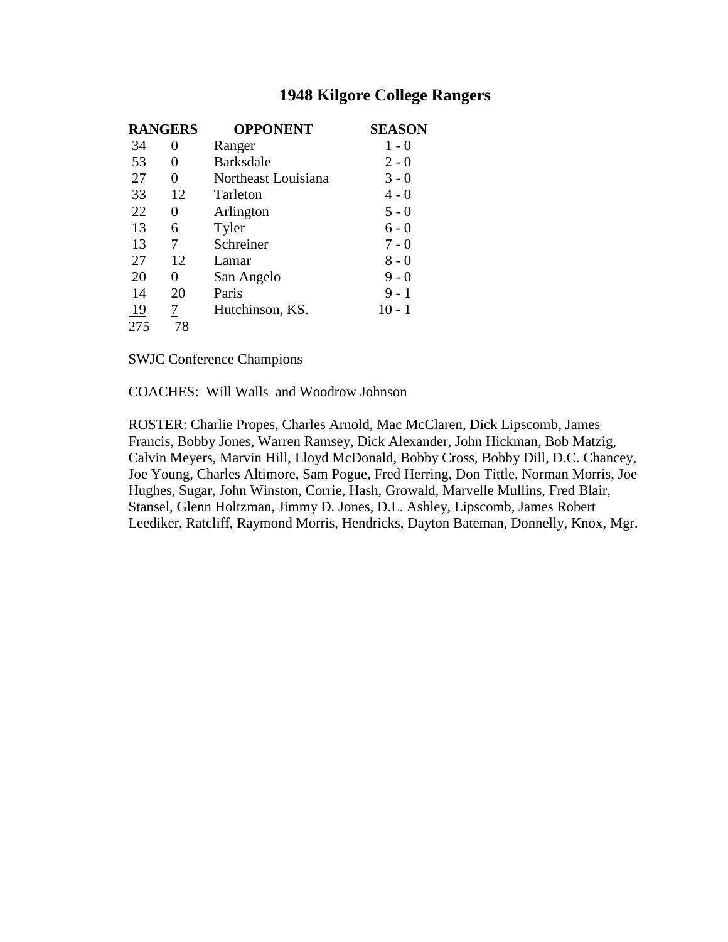|     | <b>RANGERS</b> | <b>OPPONENT</b>     | <b>SEASON</b> |
|-----|----------------|---------------------|---------------|
| 34  | 0              | Ranger              | $1 - 0$       |
| 53  | 0              | <b>Barksdale</b>    | $2 - 0$       |
| 27  | 0              | Northeast Louisiana | $3 - 0$       |
| 33  | 12             | Tarleton            | 4 - 0         |
| 22  | 0              | Arlington           | $5 - 0$       |
| 13  | 6              | Tyler               | $6 - 0$       |
| 13  | 7              | Schreiner           | $7 - 0$       |
| 27  | 12             | Lamar               | $8 - 0$       |
| 20  | 0              | San Angelo          | $9 - 0$       |
| 14  | 20             | Paris               | $9 - 1$       |
| 19  |                | Hutchinson, KS.     | $10 - 1$      |
| 275 | 78             |                     |               |

SWJC Conference Champions

COACHES: Will Walls and Woodrow Johnson

ROSTER: Charlie Propes, Charles Arnold, Mac McClaren, Dick Lipscomb, James Francis, Bobby Jones, Warren Ramsey, Dick Alexander, John Hickman, Bob Matzig, Calvin Meyers, Marvin Hill, Lloyd McDonald, Bobby Cross, Bobby Dill, D.C. Chancey, Joe Young, Charles Altimore, Sam Pogue, Fred Herring, Don Tittle, Norman Morris, Joe Hughes, Sugar, John Winston, Corrie, Hash, Growald, Marvelle Mullins, Fred Blair, Stansel, Glenn Holtzman, Jimmy D. Jones, D.L. Ashley, Lipscomb, James Robert Leediker, Ratcliff, Raymond Morris, Hendricks, Dayton Bateman, Donnelly, Knox, Mgr.